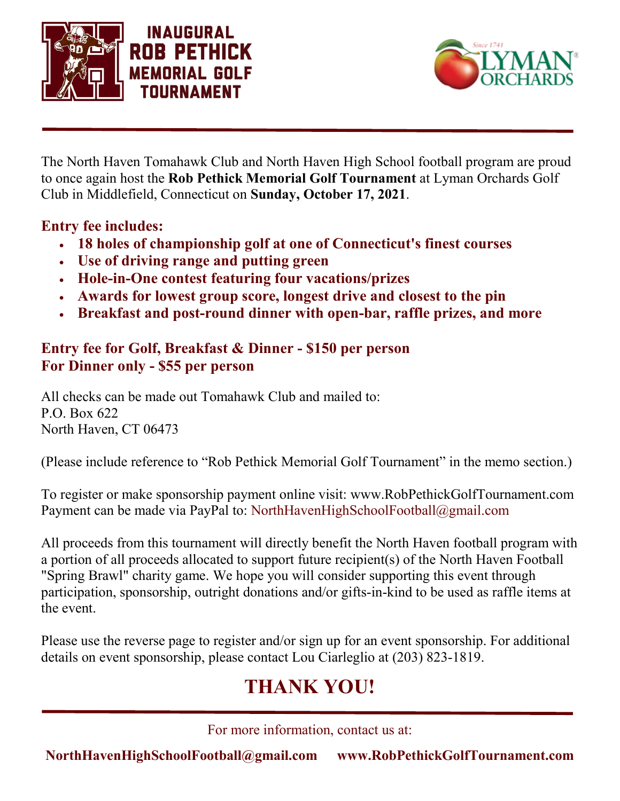



The North Haven Tomahawk Club and North Haven High School football program are proud to once again host the **Rob Pethick Memorial Golf Tournament** at Lyman Orchards Golf Club in Middlefield, Connecticut on **Sunday, October 17, 2021**.

## **Entry fee includes:**

- **18 holes of championship golf at one of Connecticut's finest courses**
- **Use of driving range and putting green**
- **Hole-in-One contest featuring four vacations/prizes**
- **Awards for lowest group score, longest drive and closest to the pin**
- **Breakfast and post-round dinner with open-bar, raffle prizes, and more**

# **Entry fee for Golf, Breakfast & Dinner - \$150 per person For Dinner only - \$55 per person**

All checks can be made out Tomahawk Club and mailed to: P.O. Box 622 North Haven, CT 06473

(Please include reference to "Rob Pethick Memorial Golf Tournament" in the memo section.)

To register or make sponsorship payment online visit: www.RobPethickGolfTournament.com Payment can be made via PayPal to: NorthHavenHighSchoolFootball@gmail.com

All proceeds from this tournament will directly benefit the North Haven football program with a portion of all proceeds allocated to support future recipient(s) of the North Haven Football "Spring Brawl" charity game. We hope you will consider supporting this event through participation, sponsorship, outright donations and/or gifts-in-kind to be used as raffle items at the event.

Please use the reverse page to register and/or sign up for an event sponsorship. For additional details on event sponsorship, please contact Lou Ciarleglio at (203) 823-1819.

# **THANK YOU!**

For more information, contact us at:

**NorthHavenHighSchoolFootball@gmail.com www.RobPethickGolfTournament.com**